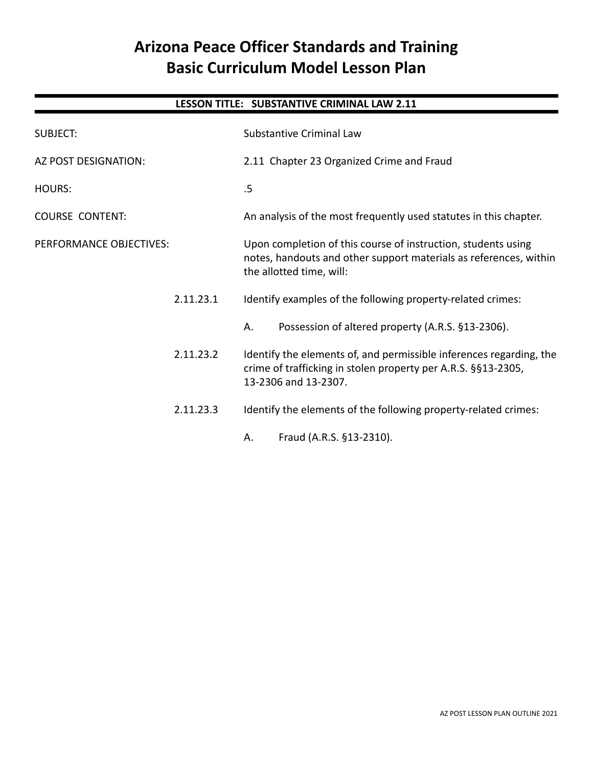## **Arizona Peace Officer Standards and Training Basic Curriculum Model Lesson Plan**

## **LESSON TITLE: SUBSTANTIVE CRIMINAL LAW 2.11**

| <b>SUBJECT:</b>         | <b>Substantive Criminal Law</b>                                                                                                                                |  |
|-------------------------|----------------------------------------------------------------------------------------------------------------------------------------------------------------|--|
| AZ POST DESIGNATION:    | 2.11 Chapter 23 Organized Crime and Fraud                                                                                                                      |  |
| <b>HOURS:</b>           | .5                                                                                                                                                             |  |
| <b>COURSE CONTENT:</b>  | An analysis of the most frequently used statutes in this chapter.                                                                                              |  |
| PERFORMANCE OBJECTIVES: | Upon completion of this course of instruction, students using<br>notes, handouts and other support materials as references, within<br>the allotted time, will: |  |
| 2.11.23.1               | Identify examples of the following property-related crimes:                                                                                                    |  |
|                         | Possession of altered property (A.R.S. §13-2306).<br>Α.                                                                                                        |  |
| 2.11.23.2               | Identify the elements of, and permissible inferences regarding, the<br>crime of trafficking in stolen property per A.R.S. §§13-2305,<br>13-2306 and 13-2307.   |  |
| 2.11.23.3               | Identify the elements of the following property-related crimes:                                                                                                |  |
|                         | Fraud (A.R.S. §13-2310).<br>А.                                                                                                                                 |  |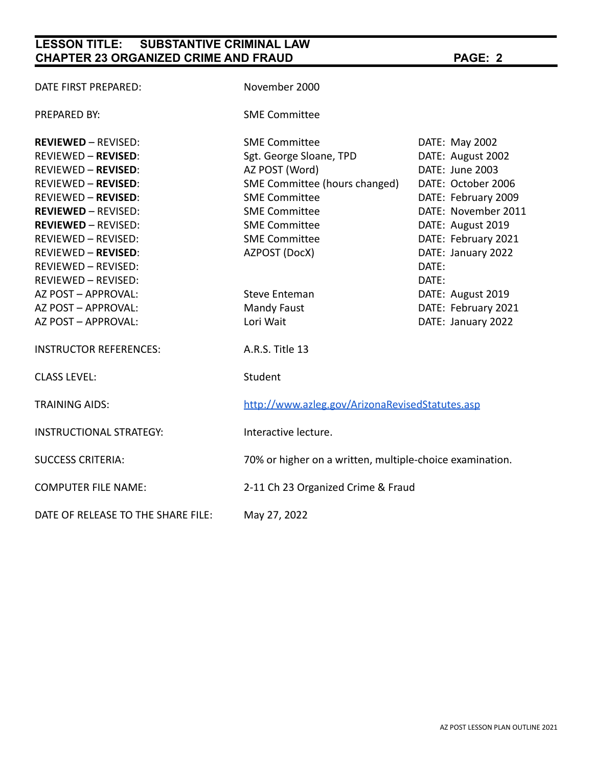## **LESSON TITLE: SUBSTANTIVE CRIMINAL LAW CHAPTER 23 ORGANIZED CRIME AND FRAUD PAGE: 2**

| DATE FIRST PREPARED:               | November 2000                                            |                     |
|------------------------------------|----------------------------------------------------------|---------------------|
| PREPARED BY:                       | <b>SME Committee</b>                                     |                     |
| <b>REVIEWED – REVISED:</b>         | <b>SME Committee</b>                                     | DATE: May 2002      |
| REVIEWED - REVISED:                | Sgt. George Sloane, TPD                                  | DATE: August 2002   |
| REVIEWED - REVISED:                | AZ POST (Word)                                           | DATE: June 2003     |
| REVIEWED - REVISED:                | SME Committee (hours changed)                            | DATE: October 2006  |
| REVIEWED - REVISED:                | <b>SME Committee</b>                                     | DATE: February 2009 |
| <b>REVIEWED - REVISED:</b>         | <b>SME Committee</b>                                     | DATE: November 2011 |
| <b>REVIEWED - REVISED:</b>         | <b>SME Committee</b>                                     | DATE: August 2019   |
| REVIEWED - REVISED:                | <b>SME Committee</b>                                     | DATE: February 2021 |
| REVIEWED – <b>REVISED</b> :        | AZPOST (DocX)                                            | DATE: January 2022  |
| REVIEWED - REVISED:                |                                                          | DATE:               |
| REVIEWED – REVISED:                |                                                          | DATE:               |
| AZ POST - APPROVAL:                | <b>Steve Enteman</b>                                     | DATE: August 2019   |
| AZ POST – APPROVAL:                | <b>Mandy Faust</b>                                       | DATE: February 2021 |
| AZ POST – APPROVAL:                | Lori Wait                                                | DATE: January 2022  |
| <b>INSTRUCTOR REFERENCES:</b>      | A.R.S. Title 13                                          |                     |
| <b>CLASS LEVEL:</b>                | Student                                                  |                     |
| <b>TRAINING AIDS:</b>              | http://www.azleg.gov/ArizonaRevisedStatutes.asp          |                     |
| INSTRUCTIONAL STRATEGY:            | Interactive lecture.                                     |                     |
| <b>SUCCESS CRITERIA:</b>           | 70% or higher on a written, multiple-choice examination. |                     |
| <b>COMPUTER FILE NAME:</b>         | 2-11 Ch 23 Organized Crime & Fraud                       |                     |
| DATE OF RELEASE TO THE SHARE FILE: | May 27, 2022                                             |                     |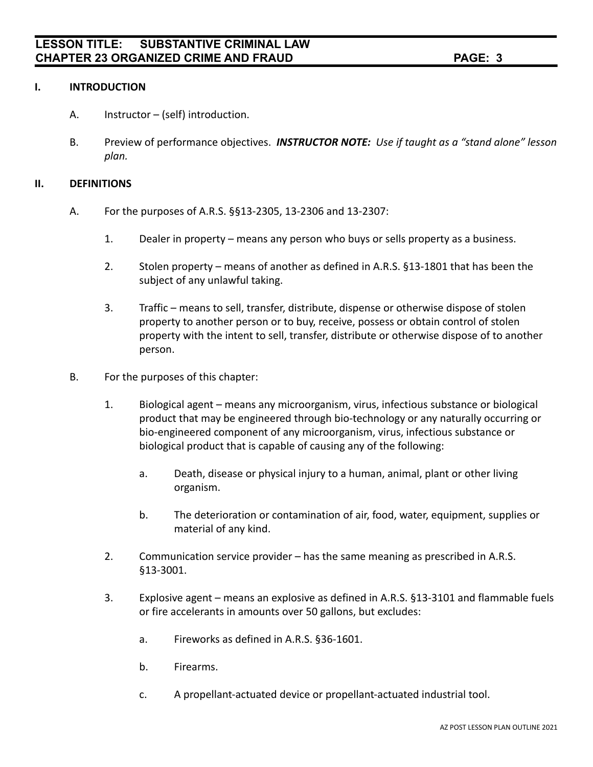#### **I. INTRODUCTION**

- A. Instructor (self) introduction.
- B. Preview of performance objectives. *INSTRUCTOR NOTE: Use if taught as a "stand alone" lesson plan.*

#### **II. DEFINITIONS**

- A. For the purposes of A.R.S. §§13-2305, 13-2306 and 13-2307:
	- 1. Dealer in property means any person who buys or sells property as a business.
	- 2. Stolen property means of another as defined in A.R.S. §13-1801 that has been the subject of any unlawful taking.
	- 3. Traffic means to sell, transfer, distribute, dispense or otherwise dispose of stolen property to another person or to buy, receive, possess or obtain control of stolen property with the intent to sell, transfer, distribute or otherwise dispose of to another person.
- B. For the purposes of this chapter:
	- 1. Biological agent means any microorganism, virus, infectious substance or biological product that may be engineered through bio-technology or any naturally occurring or bio-engineered component of any microorganism, virus, infectious substance or biological product that is capable of causing any of the following:
		- a. Death, disease or physical injury to a human, animal, plant or other living organism.
		- b. The deterioration or contamination of air, food, water, equipment, supplies or material of any kind.
	- 2. Communication service provider has the same meaning as prescribed in A.R.S. §13-3001.
	- 3. Explosive agent means an explosive as defined in A.R.S. §13-3101 and flammable fuels or fire accelerants in amounts over 50 gallons, but excludes:
		- a. Fireworks as defined in A.R.S. §36-1601.
		- b. Firearms.
		- c. A propellant-actuated device or propellant-actuated industrial tool.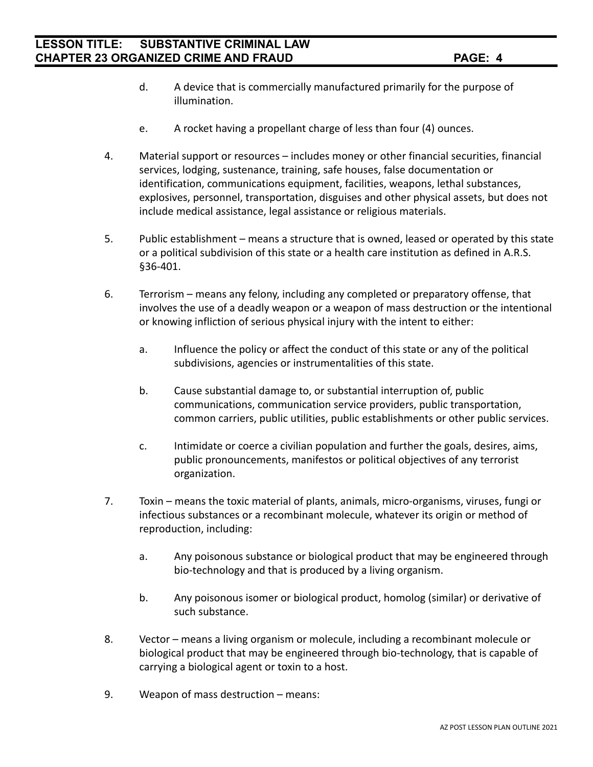- d. A device that is commercially manufactured primarily for the purpose of illumination.
- e. A rocket having a propellant charge of less than four (4) ounces.
- 4. Material support or resources includes money or other financial securities, financial services, lodging, sustenance, training, safe houses, false documentation or identification, communications equipment, facilities, weapons, lethal substances, explosives, personnel, transportation, disguises and other physical assets, but does not include medical assistance, legal assistance or religious materials.
- 5. Public establishment means a structure that is owned, leased or operated by this state or a political subdivision of this state or a health care institution as defined in A.R.S. §36-401.
- 6. Terrorism means any felony, including any completed or preparatory offense, that involves the use of a deadly weapon or a weapon of mass destruction or the intentional or knowing infliction of serious physical injury with the intent to either:
	- a. Influence the policy or affect the conduct of this state or any of the political subdivisions, agencies or instrumentalities of this state.
	- b. Cause substantial damage to, or substantial interruption of, public communications, communication service providers, public transportation, common carriers, public utilities, public establishments or other public services.
	- c. Intimidate or coerce a civilian population and further the goals, desires, aims, public pronouncements, manifestos or political objectives of any terrorist organization.
- 7. Toxin means the toxic material of plants, animals, micro-organisms, viruses, fungi or infectious substances or a recombinant molecule, whatever its origin or method of reproduction, including:
	- a. Any poisonous substance or biological product that may be engineered through bio-technology and that is produced by a living organism.
	- b. Any poisonous isomer or biological product, homolog (similar) or derivative of such substance.
- 8. Vector means a living organism or molecule, including a recombinant molecule or biological product that may be engineered through bio-technology, that is capable of carrying a biological agent or toxin to a host.
- 9. Weapon of mass destruction means: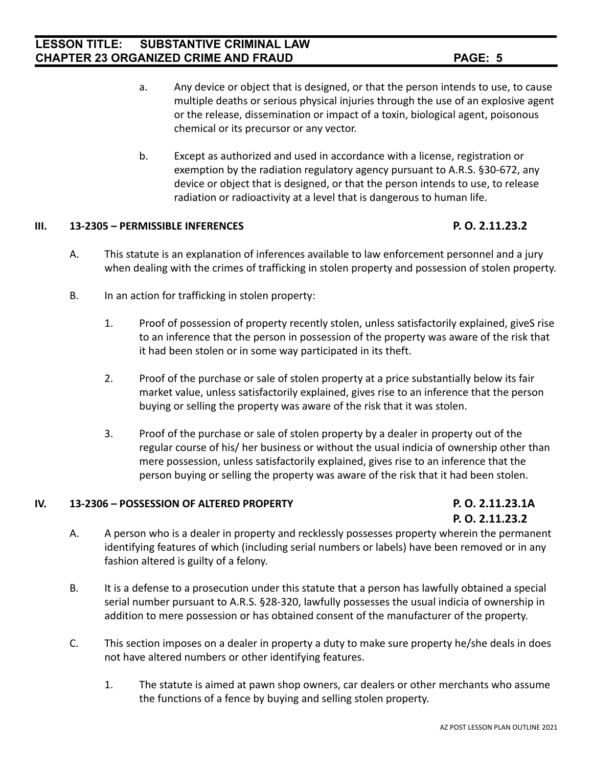- 
- a. Any device or object that is designed, or that the person intends to use, to cause multiple deaths or serious physical injuries through the use of an explosive agent or the release, dissemination or impact of a toxin, biological agent, poisonous chemical or its precursor or any vector.
- b. Except as authorized and used in accordance with a license, registration or exemption by the radiation regulatory agency pursuant to A.R.S. §30-672, any device or object that is designed, or that the person intends to use, to release radiation or radioactivity at a level that is dangerous to human life.

#### **III. 13-2305 – PERMISSIBLE INFERENCES P. O. 2.11.23.2**

- A. This statute is an explanation of inferences available to law enforcement personnel and a jury when dealing with the crimes of trafficking in stolen property and possession of stolen property.
- B. In an action for trafficking in stolen property:
	- 1. Proof of possession of property recently stolen, unless satisfactorily explained, giveS rise to an inference that the person in possession of the property was aware of the risk that it had been stolen or in some way participated in its theft.
	- 2. Proof of the purchase or sale of stolen property at a price substantially below its fair market value, unless satisfactorily explained, gives rise to an inference that the person buying or selling the property was aware of the risk that it was stolen.
	- 3. Proof of the purchase or sale of stolen property by a dealer in property out of the regular course of his/ her business or without the usual indicia of ownership other than mere possession, unless satisfactorily explained, gives rise to an inference that the person buying or selling the property was aware of the risk that it had been stolen.

#### **IV. 13-2306 – POSSESSION OF ALTERED PROPERTY P. O. 2.11.23.1A**

# **P. O. 2.11.23.2**

- A. A person who is a dealer in property and recklessly possesses property wherein the permanent identifying features of which (including serial numbers or labels) have been removed or in any fashion altered is guilty of a felony.
- B. It is a defense to a prosecution under this statute that a person has lawfully obtained a special serial number pursuant to A.R.S. §28-320, lawfully possesses the usual indicia of ownership in addition to mere possession or has obtained consent of the manufacturer of the property.
- C. This section imposes on a dealer in property a duty to make sure property he/she deals in does not have altered numbers or other identifying features.
	- 1. The statute is aimed at pawn shop owners, car dealers or other merchants who assume the functions of a fence by buying and selling stolen property.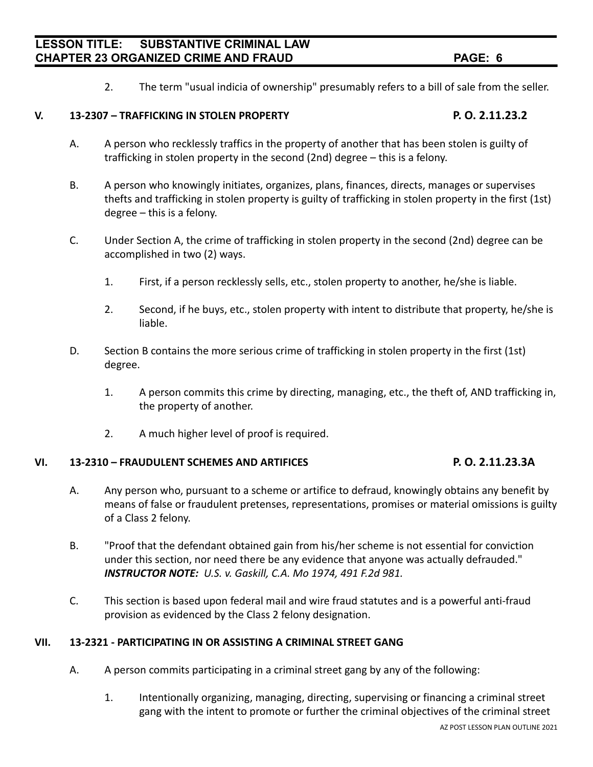2. The term "usual indicia of ownership" presumably refers to a bill of sale from the seller.

#### **V. 13-2307 – TRAFFICKING IN STOLEN PROPERTY P. O. 2.11.23.2**

- A. A person who recklessly traffics in the property of another that has been stolen is guilty of trafficking in stolen property in the second (2nd) degree – this is a felony.
- B. A person who knowingly initiates, organizes, plans, finances, directs, manages or supervises thefts and trafficking in stolen property is guilty of trafficking in stolen property in the first (1st) degree – this is a felony.
- C. Under Section A, the crime of trafficking in stolen property in the second (2nd) degree can be accomplished in two (2) ways.
	- 1. First, if a person recklessly sells, etc., stolen property to another, he/she is liable.
	- 2. Second, if he buys, etc., stolen property with intent to distribute that property, he/she is liable.
- D. Section B contains the more serious crime of trafficking in stolen property in the first (1st) degree.
	- 1. A person commits this crime by directing, managing, etc., the theft of, AND trafficking in, the property of another.
	- 2. A much higher level of proof is required.

#### **VI. 13-2310 – FRAUDULENT SCHEMES AND ARTIFICES P. O. 2.11.23.3A**

- A. Any person who, pursuant to a scheme or artifice to defraud, knowingly obtains any benefit by means of false or fraudulent pretenses, representations, promises or material omissions is guilty of a Class 2 felony.
- B. "Proof that the defendant obtained gain from his/her scheme is not essential for conviction under this section, nor need there be any evidence that anyone was actually defrauded." *INSTRUCTOR NOTE: U.S. v. Gaskill, C.A. Mo 1974, 491 F.2d 981.*
- C. This section is based upon federal mail and wire fraud statutes and is a powerful anti-fraud provision as evidenced by the Class 2 felony designation.

#### **VII. 13-2321 - PARTICIPATING IN OR ASSISTING A CRIMINAL STREET GANG**

- A. A person commits participating in a criminal street gang by any of the following:
	- 1. Intentionally organizing, managing, directing, supervising or financing a criminal street gang with the intent to promote or further the criminal objectives of the criminal street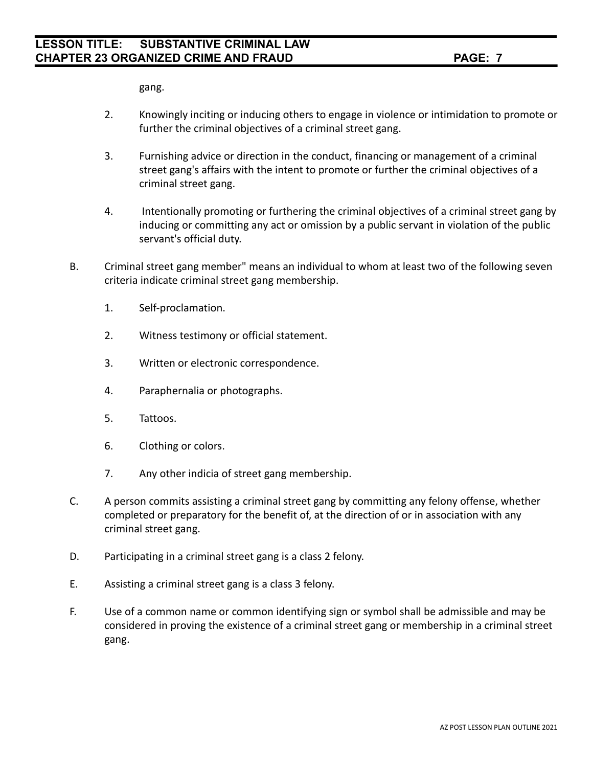gang.

- 2. Knowingly inciting or inducing others to engage in violence or intimidation to promote or further the criminal objectives of a criminal street gang.
- 3. Furnishing advice or direction in the conduct, financing or management of a criminal street gang's affairs with the intent to promote or further the criminal objectives of a criminal street gang.
- 4. Intentionally promoting or furthering the criminal objectives of a criminal street gang by inducing or committing any act or omission by a public servant in violation of the public servant's official duty.
- B. Criminal street gang member" means an individual to whom at least two of the following seven criteria indicate criminal street gang membership.
	- 1. Self-proclamation.
	- 2. Witness testimony or official statement.
	- 3. Written or electronic correspondence.
	- 4. Paraphernalia or photographs.
	- 5. Tattoos.
	- 6. Clothing or colors.
	- 7. Any other indicia of street gang membership.
- C. A person commits assisting a criminal street gang by committing any felony offense, whether completed or preparatory for the benefit of, at the direction of or in association with any criminal street gang.
- D. Participating in a criminal street gang is a class 2 felony.
- E. Assisting a criminal street gang is a class 3 felony.
- F. Use of a common name or common identifying sign or symbol shall be admissible and may be considered in proving the existence of a criminal street gang or membership in a criminal street gang.